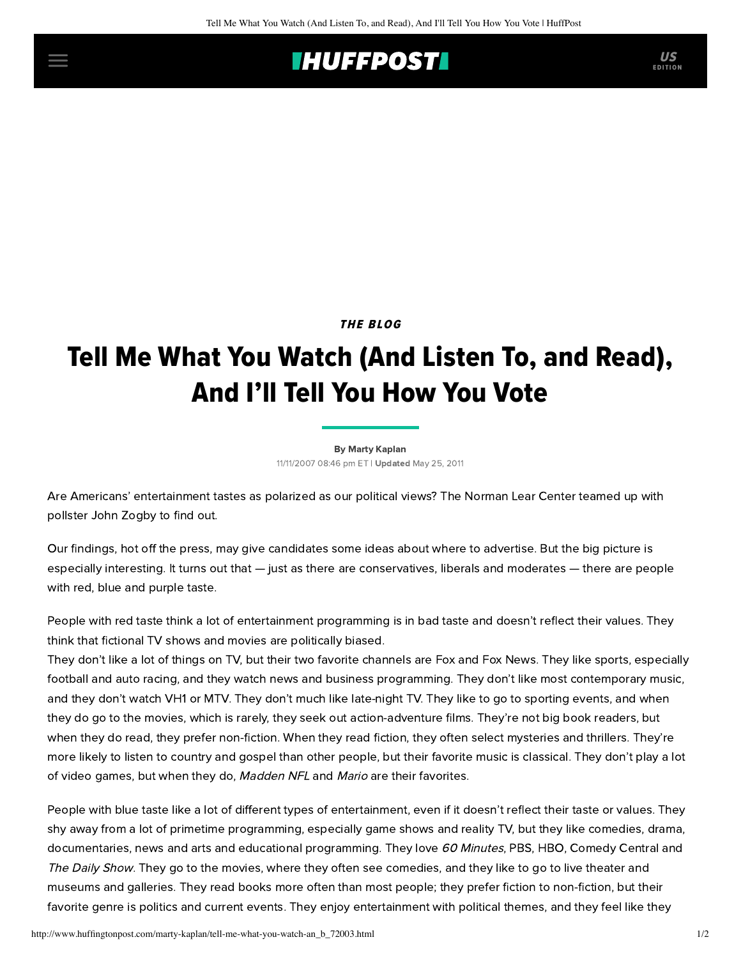## **INUFFPOSTI** US

### THE BLOG

# Tell Me What You Watch (And Listen To, and Read), And I'll Tell You How You Vote

#### [By Marty Kaplan](http://www.huffingtonpost.com/author/marty-kaplan)

11/11/2007 08:46 pm ET | Updated May 25, 2011

Are Americans' entertainment tastes as polarized as our political views? The [Norman Lear Center](http://www.learcenter.org/) teamed up with pollster [John Zogby](http://www.zogby.com/) to find out.

Our findings, hot off the press, may give candidates some ideas about where to advertise. But the big picture is especially interesting. It turns out that — just as there are conservatives, liberals and moderates — there are people with red, blue and purple taste.

People with red taste think a lot of entertainment programming is in bad taste and doesn't reflect their values. They think that fictional TV shows and movies are politically biased.

They don't like a lot of things on TV, but their two favorite channels are Fox and Fox News. They like sports, especially football and auto racing, and they watch news and business programming. They don't like most contemporary music, and they don't watch VH1 or MTV. They don't much like late-night TV. They like to go to sporting events, and when they do go to the movies, which is rarely, they seek out action-adventure films. They're not big book readers, but when they do read, they prefer non-fiction. When they read fiction, they often select mysteries and thrillers. They're more likely to listen to country and gospel than other people, but their favorite music is classical. They don't play a lot of video games, but when they do, Madden NFL and Mario are their favorites.

People with blue taste like a lot of different types of entertainment, even if it doesn't reflect their taste or values. They shy away from a lot of primetime programming, especially game shows and reality TV, but they like comedies, drama, documentaries, news and arts and educational programming. They love 60 Minutes, PBS, HBO, Comedy Central and The Daily Show. They go to the movies, where they often see comedies, and they like to go to live theater and museums and galleries. They read books more often than most people; they prefer fiction to non-fiction, but their favorite genre is politics and current events. They enjoy entertainment with political themes, and they feel like they